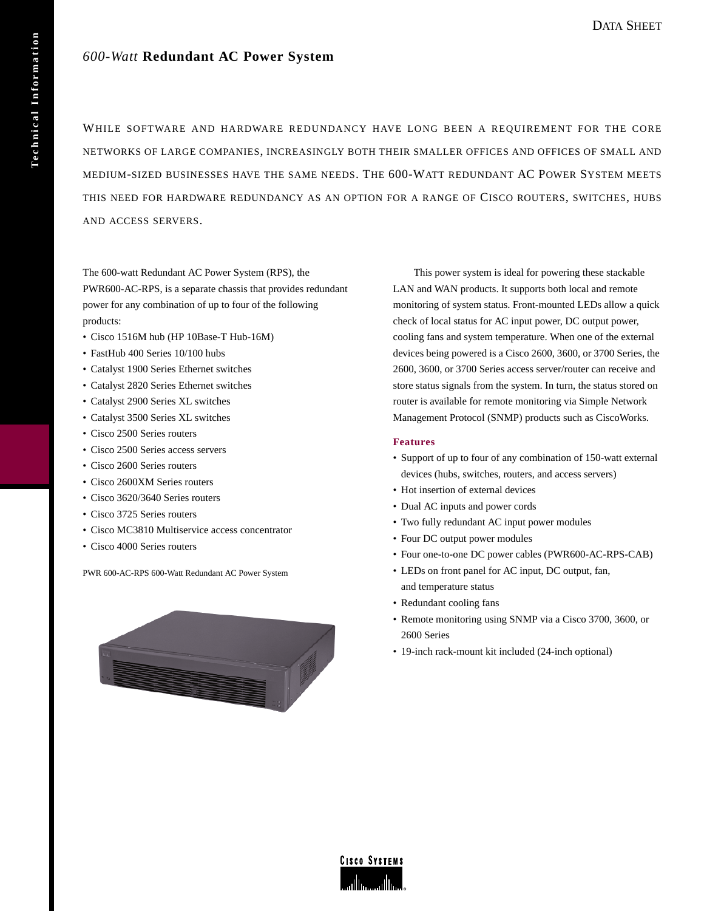# *600-Watt* **Redundant AC Power System**

WHILE SOFTWARE AND HARDWARE REDUNDANCY HAVE LONG BEEN A REQUIREMENT FOR THE CORE NETWORKS OF LARGE COMPANIES, INCREASINGLY BOTH THEIR SMALLER OFFICES AND OFFICES OF SMALL AND MEDIUM-SIZED BUSINESSES HAVE THE SAME NEEDS. THE 600-WATT REDUNDANT AC POWER SYSTEM MEETS THIS NEED FOR HARDWARE REDUNDANCY AS AN OPTION FOR A RANGE OF CISCO ROUTERS, SWITCHES, HUBS AND ACCESS SERVERS.

The 600-watt Redundant AC Power System (RPS), the PWR600-AC-RPS, is a separate chassis that provides redundant power for any combination of up to four of the following products:

- Cisco 1516M hub (HP 10Base-T Hub-16M)
- FastHub 400 Series 10/100 hubs
- Catalyst 1900 Series Ethernet switches
- Catalyst 2820 Series Ethernet switches
- Catalyst 2900 Series XL switches
- Catalyst 3500 Series XL switches
- Cisco 2500 Series routers
- Cisco 2500 Series access servers
- Cisco 2600 Series routers
- Cisco 2600XM Series routers
- Cisco 3620/3640 Series routers
- Cisco 3725 Series routers
- Cisco MC3810 Multiservice access concentrator
- Cisco 4000 Series routers

PWR 600-AC-RPS 600-Watt Redundant AC Power System



This power system is ideal for powering these stackable LAN and WAN products. It supports both local and remote monitoring of system status. Front-mounted LEDs allow a quick check of local status for AC input power, DC output power, cooling fans and system temperature. When one of the external devices being powered is a Cisco 2600, 3600, or 3700 Series, the 2600, 3600, or 3700 Series access server/router can receive and store status signals from the system. In turn, the status stored on router is available for remote monitoring via Simple Network Management Protocol (SNMP) products such as CiscoWorks.

# **Features**

- Support of up to four of any combination of 150-watt external devices (hubs, switches, routers, and access servers)
- Hot insertion of external devices
- Dual AC inputs and power cords
- Two fully redundant AC input power modules
- Four DC output power modules
- Four one-to-one DC power cables (PWR600-AC-RPS-CAB)
- LEDs on front panel for AC input, DC output, fan, and temperature status
- Redundant cooling fans
- Remote monitoring using SNMP via a Cisco 3700, 3600, or 2600 Series
- 19-inch rack-mount kit included (24-inch optional)